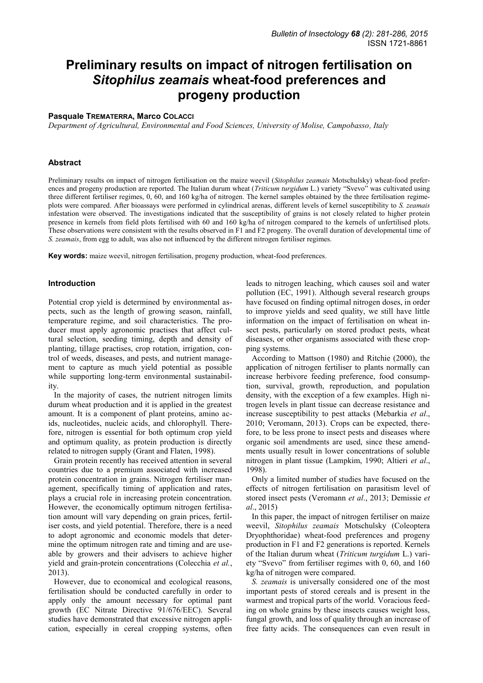# **Preliminary results on impact of nitrogen fertilisation on**  *Sitophilus zeamais* **wheat-food preferences and progeny production**

## **Pasquale TREMATERRA, Marco COLACCI**

*Department of Agricultural, Environmental and Food Sciences, University of Molise, Campobasso, Italy* 

#### **Abstract**

Preliminary results on impact of nitrogen fertilisation on the maize weevil (*Sitophilus zeamais* Motschulsky) wheat-food preferences and progeny production are reported. The Italian durum wheat (*Triticum turgidum* L.) variety "Svevo" was cultivated using three different fertiliser regimes, 0, 60, and 160 kg/ha of nitrogen. The kernel samples obtained by the three fertilisation regimeplots were compared. After bioassays were performed in cylindrical arenas, different levels of kernel susceptibility to *S. zeamais* infestation were observed. The investigations indicated that the susceptibility of grains is not closely related to higher protein presence in kernels from field plots fertilised with 60 and 160 kg/ha of nitrogen compared to the kernels of unfertilised plots. These observations were consistent with the results observed in F1 and F2 progeny. The overall duration of developmental time of *S. zeamais*, from egg to adult, was also not influenced by the different nitrogen fertiliser regimes.

**Key words:** maize weevil, nitrogen fertilisation, progeny production, wheat-food preferences.

## **Introduction**

Potential crop yield is determined by environmental aspects, such as the length of growing season, rainfall, temperature regime, and soil characteristics. The producer must apply agronomic practises that affect cultural selection, seeding timing, depth and density of planting, tillage practises, crop rotation, irrigation, control of weeds, diseases, and pests, and nutrient management to capture as much yield potential as possible while supporting long-term environmental sustainability.

In the majority of cases, the nutrient nitrogen limits durum wheat production and it is applied in the greatest amount. It is a component of plant proteins, amino acids, nucleotides, nucleic acids, and chlorophyll. Therefore, nitrogen is essential for both optimum crop yield and optimum quality, as protein production is directly related to nitrogen supply (Grant and Flaten, 1998).

Grain protein recently has received attention in several countries due to a premium associated with increased protein concentration in grains. Nitrogen fertiliser management, specifically timing of application and rates, plays a crucial role in increasing protein concentration. However, the economically optimum nitrogen fertilisation amount will vary depending on grain prices, fertiliser costs, and yield potential. Therefore, there is a need to adopt agronomic and economic models that determine the optimum nitrogen rate and timing and are useable by growers and their advisers to achieve higher yield and grain-protein concentrations (Colecchia *et al.*, 2013).

However, due to economical and ecological reasons, fertilisation should be conducted carefully in order to apply only the amount necessary for optimal pant growth (EC Nitrate Directive 91/676/EEC). Several studies have demonstrated that excessive nitrogen application, especially in cereal cropping systems, often

leads to nitrogen leaching, which causes soil and water pollution (EC, 1991). Although several research groups have focused on finding optimal nitrogen doses, in order to improve yields and seed quality, we still have little information on the impact of fertilisation on wheat insect pests, particularly on stored product pests, wheat diseases, or other organisms associated with these cropping systems.

According to Mattson (1980) and Ritchie (2000), the application of nitrogen fertiliser to plants normally can increase herbivore feeding preference, food consumption, survival, growth, reproduction, and population density, with the exception of a few examples. High nitrogen levels in plant tissue can decrease resistance and increase susceptibility to pest attacks (Mebarkia *et al*., 2010; Veromann, 2013). Crops can be expected, therefore, to be less prone to insect pests and diseases where organic soil amendments are used, since these amendments usually result in lower concentrations of soluble nitrogen in plant tissue (Lampkim, 1990; Altieri *et al*., 1998).

Only a limited number of studies have focused on the effects of nitrogen fertilisation on parasitism level of stored insect pests (Veromann *et al*., 2013; Demissie *et al*., 2015)

In this paper, the impact of nitrogen fertiliser on maize weevil, *Sitophilus zeamais* Motschulsky (Coleoptera Dryophthoridae) wheat-food preferences and progeny production in F1 and F2 generations is reported. Kernels of the Italian durum wheat (*Triticum turgidum* L.) variety "Svevo" from fertiliser regimes with 0, 60, and 160 kg/ha of nitrogen were compared.

*S. zeamais* is universally considered one of the most important pests of stored cereals and is present in the warmest and tropical parts of the world. Voracious feeding on whole grains by these insects causes weight loss, fungal growth, and loss of quality through an increase of free fatty acids. The consequences can even result in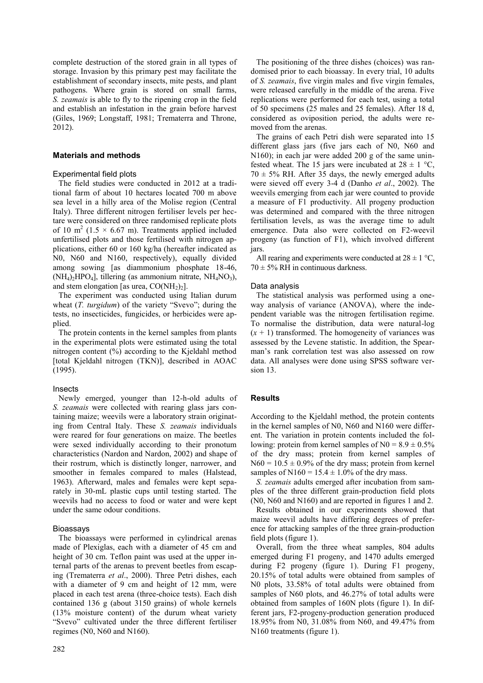complete destruction of the stored grain in all types of storage. Invasion by this primary pest may facilitate the establishment of secondary insects, mite pests, and plant pathogens. Where grain is stored on small farms, *S. zeamais* is able to fly to the ripening crop in the field and establish an infestation in the grain before harvest (Giles, 1969; Longstaff, 1981; Trematerra and Throne, 2012).

### **Materials and methods**

## Experimental field plots

The field studies were conducted in 2012 at a traditional farm of about 10 hectares located 700 m above sea level in a hilly area of the Molise region (Central Italy). Three different nitrogen fertiliser levels per hectare were considered on three randomised replicate plots of 10 m<sup>2</sup> (1.5  $\times$  6.67 m). Treatments applied included unfertilised plots and those fertilised with nitrogen applications, either 60 or 160 kg/ha (hereafter indicated as N0, N60 and N160, respectively), equally divided among sowing [as diammonium phosphate 18-46,  $(NH_4)_2HPO_4$ , tillering (as ammonium nitrate,  $NH_4NO_3$ ), and stem elongation [as urea,  $CO(NH<sub>2</sub>)<sub>2</sub>$ ].

The experiment was conducted using Italian durum wheat (*T. turgidum*) of the variety "Svevo"; during the tests, no insecticides, fungicides, or herbicides were applied.

The protein contents in the kernel samples from plants in the experimental plots were estimated using the total nitrogen content (%) according to the Kjeldahl method [total Kjeldahl nitrogen (TKN)], described in AOAC (1995).

### Insects

Newly emerged, younger than 12-h-old adults of *S. zeamais* were collected with rearing glass jars containing maize; weevils were a laboratory strain originating from Central Italy. These *S. zeamais* individuals were reared for four generations on maize. The beetles were sexed individually according to their pronotum characteristics (Nardon and Nardon, 2002) and shape of their rostrum, which is distinctly longer, narrower, and smoother in females compared to males (Halstead, 1963). Afterward, males and females were kept separately in 30-mL plastic cups until testing started. The weevils had no access to food or water and were kept under the same odour conditions.

# Bioassays

The bioassays were performed in cylindrical arenas made of Plexiglas, each with a diameter of 45 cm and height of 30 cm. Teflon paint was used at the upper internal parts of the arenas to prevent beetles from escaping (Trematerra *et al*., 2000). Three Petri dishes, each with a diameter of 9 cm and height of 12 mm, were placed in each test arena (three-choice tests). Each dish contained 136 g (about 3150 grains) of whole kernels (13% moisture content) of the durum wheat variety "Svevo" cultivated under the three different fertiliser regimes (N0, N60 and N160).

The positioning of the three dishes (choices) was randomised prior to each bioassay. In every trial, 10 adults of *S. zeamais*, five virgin males and five virgin females, were released carefully in the middle of the arena. Five replications were performed for each test, using a total of 50 specimens (25 males and 25 females). After 18 d, considered as oviposition period, the adults were removed from the arenas.

The grains of each Petri dish were separated into 15 different glass jars (five jars each of N0, N60 and N160); in each jar were added 200 g of the same uninfested wheat. The 15 jars were incubated at  $28 \pm 1$  °C,  $70 \pm 5\%$  RH. After 35 days, the newly emerged adults were sieved off every 3-4 d (Danho *et al*., 2002). The weevils emerging from each jar were counted to provide a measure of F1 productivity. All progeny production was determined and compared with the three nitrogen fertilisation levels, as was the average time to adult emergence. Data also were collected on F2-weevil progeny (as function of F1), which involved different jars.

All rearing and experiments were conducted at  $28 \pm 1$  °C,  $70 \pm 5\%$  RH in continuous darkness.

# Data analysis

The statistical analysis was performed using a oneway analysis of variance (ANOVA), where the independent variable was the nitrogen fertilisation regime. To normalise the distribution, data were natural-log  $(x + 1)$  transformed. The homogeneity of variances was assessed by the Levene statistic. In addition, the Spearman"s rank correlation test was also assessed on row data. All analyses were done using SPSS software version 13.

### **Results**

According to the Kjeldahl method, the protein contents in the kernel samples of N0, N60 and N160 were different. The variation in protein contents included the following: protein from kernel samples of  $N0 = 8.9 \pm 0.5\%$ of the dry mass; protein from kernel samples of  $N60 = 10.5 \pm 0.9\%$  of the dry mass; protein from kernel samples of N160 =  $15.4 \pm 1.0\%$  of the dry mass.

*S. zeamais* adults emerged after incubation from samples of the three different grain-production field plots (N0, N60 and N160) and are reported in figures 1 and 2.

Results obtained in our experiments showed that maize weevil adults have differing degrees of preference for attacking samples of the three grain-production field plots (figure 1).

Overall, from the three wheat samples, 804 adults emerged during F1 progeny, and 1470 adults emerged during F2 progeny (figure 1). During F1 progeny, 20.15% of total adults were obtained from samples of N0 plots, 33.58% of total adults were obtained from samples of N60 plots, and 46.27% of total adults were obtained from samples of 160N plots (figure 1). In different jars, F2-progeny-production generation produced 18.95% from N0, 31.08% from N60, and 49.47% from N160 treatments (figure 1).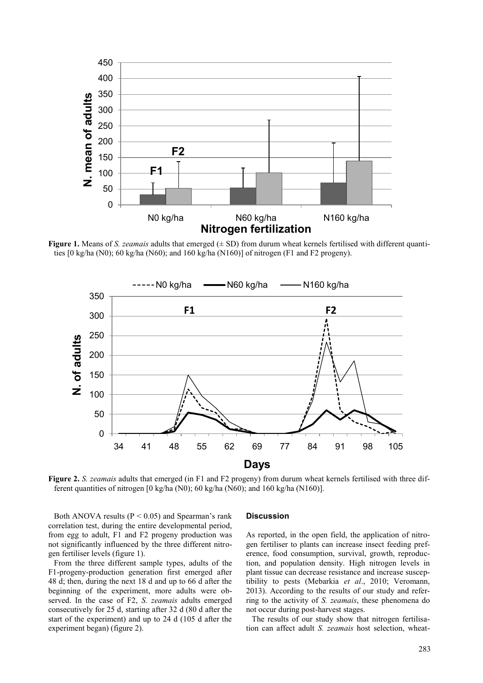

**Figure 1.** Means of *S. zeamais* adults that emerged ( $\pm$  SD) from durum wheat kernels fertilised with different quantities [0 kg/ha (N0); 60 kg/ha (N60); and 160 kg/ha (N160)] of nitrogen (F1 and F2 progeny).



**Figure 2.** *S. zeamais* adults that emerged (in F1 and F2 progeny) from durum wheat kernels fertilised with three different quantities of nitrogen [0 kg/ha (N0); 60 kg/ha (N60); and 160 kg/ha (N160)].

Both ANOVA results ( $P < 0.05$ ) and Spearman's rank correlation test, during the entire developmental period, from egg to adult, F1 and F2 progeny production was not significantly influenced by the three different nitrogen fertiliser levels (figure 1).

From the three different sample types, adults of the F1-progeny-production generation first emerged after 48 d; then, during the next 18 d and up to 66 d after the beginning of the experiment, more adults were observed. In the case of F2, *S. zeamais* adults emerged consecutively for 25 d, starting after 32 d (80 d after the start of the experiment) and up to 24 d (105 d after the experiment began) (figure 2).

#### **Discussion**

As reported, in the open field, the application of nitrogen fertiliser to plants can increase insect feeding preference, food consumption, survival, growth, reproduction, and population density. High nitrogen levels in plant tissue can decrease resistance and increase susceptibility to pests (Mebarkia *et al*., 2010; Veromann, 2013). According to the results of our study and referring to the activity of *S. zeamais*, these phenomena do not occur during post-harvest stages.

The results of our study show that nitrogen fertilisation can affect adult *S. zeamais* host selection, wheat-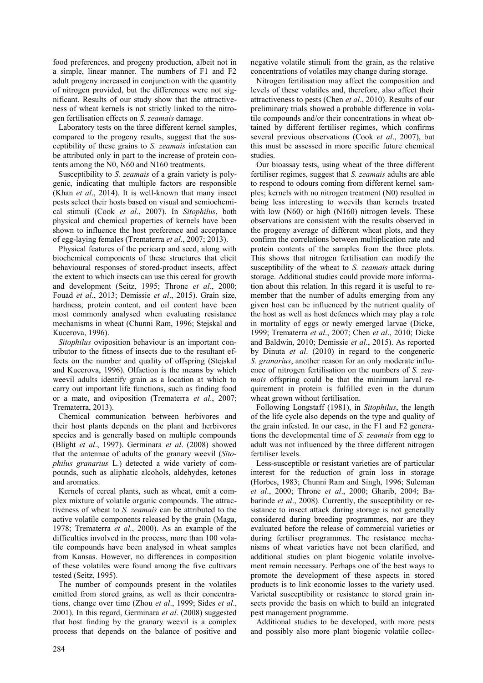food preferences, and progeny production, albeit not in a simple, linear manner. The numbers of F1 and F2 adult progeny increased in conjunction with the quantity of nitrogen provided, but the differences were not significant. Results of our study show that the attractiveness of wheat kernels is not strictly linked to the nitrogen fertilisation effects on *S. zeamais* damage.

Laboratory tests on the three different kernel samples, compared to the progeny results, suggest that the susceptibility of these grains to *S. zeamais* infestation can be attributed only in part to the increase of protein contents among the N0, N60 and N160 treatments.

Susceptibility to *S. zeamais* of a grain variety is polygenic, indicating that multiple factors are responsible (Khan *et al*., 2014). It is well-known that many insect pests select their hosts based on visual and semiochemical stimuli (Cook *et al*., 2007). In *Sitophilus*, both physical and chemical properties of kernels have been shown to influence the host preference and acceptance of egg-laying females (Trematerra *et al*., 2007; 2013).

Physical features of the pericarp and seed, along with biochemical components of these structures that elicit behavioural responses of stored-product insects, affect the extent to which insects can use this cereal for growth and development (Seitz, 1995; Throne *et al*., 2000; Fouad *et al*., 2013; Demissie *et al*., 2015). Grain size, hardness, protein content, and oil content have been most commonly analysed when evaluating resistance mechanisms in wheat (Chunni Ram, 1996; Stejskal and Kucerova, 1996).

*Sitophilus* oviposition behaviour is an important contributor to the fitness of insects due to the resultant effects on the number and quality of offspring (Stejskal and Kucerova, 1996). Olfaction is the means by which weevil adults identify grain as a location at which to carry out important life functions, such as finding food or a mate, and oviposition (Trematerra *et al*., 2007; Trematerra, 2013).

Chemical communication between herbivores and their host plants depends on the plant and herbivores species and is generally based on multiple compounds (Blight *et al*., 1997). Germinara *et al*. (2008) showed that the antennae of adults of the granary weevil (*Sitophilus granarius* L.) detected a wide variety of compounds, such as aliphatic alcohols, aldehydes, ketones and aromatics.

Kernels of cereal plants, such as wheat, emit a complex mixture of volatile organic compounds. The attractiveness of wheat to *S. zeamais* can be attributed to the active volatile components released by the grain (Maga, 1978; Trematerra *et al*., 2000). As an example of the difficulties involved in the process, more than 100 volatile compounds have been analysed in wheat samples from Kansas. However, no differences in composition of these volatiles were found among the five cultivars tested (Seitz, 1995).

The number of compounds present in the volatiles emitted from stored grains, as well as their concentrations, change over time (Zhou *et al*., 1999; Sides *et al*., 2001). In this regard, Germinara *et al*. (2008) suggested that host finding by the granary weevil is a complex process that depends on the balance of positive and

negative volatile stimuli from the grain, as the relative concentrations of volatiles may change during storage.

Nitrogen fertilisation may affect the composition and levels of these volatiles and, therefore, also affect their attractiveness to pests (Chen *et al*., 2010). Results of our preliminary trials showed a probable difference in volatile compounds and/or their concentrations in wheat obtained by different fertiliser regimes, which confirms several previous observations (Cook *et al*., 2007), but this must be assessed in more specific future chemical studies.

Our bioassay tests, using wheat of the three different fertiliser regimes, suggest that *S. zeamais* adults are able to respond to odours coming from different kernel samples; kernels with no nitrogen treatment (N0) resulted in being less interesting to weevils than kernels treated with low (N60) or high (N160) nitrogen levels. These observations are consistent with the results observed in the progeny average of different wheat plots, and they confirm the correlations between multiplication rate and protein contents of the samples from the three plots. This shows that nitrogen fertilisation can modify the susceptibility of the wheat to *S. zeamais* attack during storage. Additional studies could provide more information about this relation. In this regard it is useful to remember that the number of adults emerging from any given host can be influenced by the nutrient quality of the host as well as host defences which may play a role in mortality of eggs or newly emerged larvae (Dicke, 1999; Trematerra *et al*., 2007; Chen *et al*., 2010; Dicke and Baldwin, 2010; Demissie *et al*., 2015). As reported by Dinuta *et al*. (2010) in regard to the congeneric *S. granarius*, another reason for an only moderate influence of nitrogen fertilisation on the numbers of *S. zeamais* offspring could be that the minimum larval requirement in protein is fulfilled even in the durum wheat grown without fertilisation.

Following Longstaff (1981), in *Sitophilus*, the length of the life cycle also depends on the type and quality of the grain infested. In our case, in the F1 and F2 generations the developmental time of *S. zeamais* from egg to adult was not influenced by the three different nitrogen fertiliser levels.

Less-susceptible or resistant varieties are of particular interest for the reduction of grain loss in storage (Horbes, 1983; Chunni Ram and Singh, 1996; Suleman *et al*., 2000; Throne *et al*., 2000; Gharib, 2004; Babarinde *et al*., 2008). Currently, the susceptibility or resistance to insect attack during storage is not generally considered during breeding programmes, nor are they evaluated before the release of commercial varieties or during fertiliser programmes. The resistance mechanisms of wheat varieties have not been clarified, and additional studies on plant biogenic volatile involvement remain necessary. Perhaps one of the best ways to promote the development of these aspects in stored products is to link economic losses to the variety used. Varietal susceptibility or resistance to stored grain insects provide the basis on which to build an integrated pest management programme.

Additional studies to be developed, with more pests and possibly also more plant biogenic volatile collec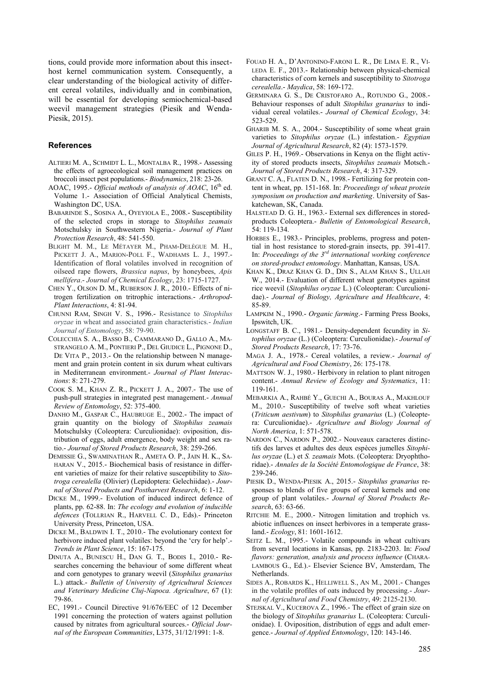tions, could provide more information about this insecthost kernel communication system. Consequently, a clear understanding of the biological activity of different cereal volatiles, individually and in combination, will be essential for developing semiochemical-based weevil management strategies (Piesik and Wenda-Piesik, 2015).

## **References**

- ALTIERI M. A., SCHMIDT L. L., MONTALBA R., 1998.- Assessing the effects of agroecological soil management practices on broccoli insect pest populations.- *Biodynamics*, 218: 23-26.
- AOAC, 1995.- *Official methods of analysis of AOAC*, 16<sup>th</sup> ed. Volume 1.- Association of Official Analytical Chemists, Washington DC, USA.
- BABARINDE S., SOSINA A., OYEYIOLA E., 2008.- Susceptibility of the selected crops in storage to *Sitophilus zeamais* Motschulsky in Southwestern Nigeria.- *Journal of Plant Protection Research*, 48: 541-550.
- BLIGHT M. M., LE MÉTAYER M., PHAM-DELÈGUE M. H., PICKETT J. A., MARION-POLL F., WADHAMS L. J., 1997.- Identification of floral volatiles involved in recognition of oilseed rape flowers, *Brassica napus*, by honeybees, *Apis mellifera*.- *Journal of Chemical Ecology*, 23: 1715-1727.
- CHEN Y., OLSON D. M., RUBERSON J. R., 2010.- Effects of nitrogen fertilization on tritrophic interactions.- *Arthropod-Plant Interactions*, 4: 81-94.
- CHUNNI RAM, SINGH V. S., 1996.- Resistance to *Sitophilus oryzae* in wheat and associated grain characteristics.- *Indian Journal of Entomology*, 58: 79-90.
- COLECCHIA S. A., BASSO B., CAMMARANO D., GALLO A., MA-STRANGELO A. M., PONTIERI P., DEL GIUDICE L., PIGNONE D., DE VITA P., 2013.- On the relationship between N management and grain protein content in six durum wheat cultivars in Mediterranean environment.- *Journal of Plant Interactions*: 8: 271-279.
- COOK S. M., KHAN Z. R., PICKETT J. A., 2007.- The use of push-pull strategies in integrated pest management.- *Annual Review of Entomology*, 52: 375-400.
- DANHO M., GASPAR C., HAUBRUGE E., 2002.- The impact of grain quantity on the biology of *Sitophilus zeamais* Motschulsky (Coleoptera: Curculionidae): oviposition, distribution of eggs, adult emergence, body weight and sex ratio.- *Journal of Stored Products Research*, 38: 259-266.
- DEMISSIE G., SWAMINATHAN R., AMETA O. P., JAIN H. K., SA-HARAN V., 2015.- Biochemical basis of resistance in different varieties of maize for their relative susceptibility to *Sitotroga cerealella* (Olivier) (Lepidoptera: Gelechiidae).- *Journal of Stored Products and Postharvest Research*, 6: 1-12.
- DICKE M., 1999.- Evolution of induced indirect defence of plants, pp. 62-88. In: *The ecology and evolution of inducible defences* (TOLLRIAN R., HARVELL C. D., Eds).- Princeton University Press, Princeton, USA.
- DICKE M., BALDWIN I. T., 2010.- The evolutionary context for herbivore induced plant volatiles: beyond the 'cry for help'. *Trends in Plant Science*, 15: 167-175.
- DINUTA A., BUNESCU H., DAN G. T., BODIS I., 2010.- Researches concerning the behaviour of some different wheat and corn genotypes to granary weevil (*Sitophilus granarius* L.) attack.- *Bulletin of University of Agricultural Sciences and Veterinary Medicine Cluj-Napoca. Agriculture*, 67 (1): 79-86.
- EC, 1991.- Council Directive 91/676/EEC of 12 December 1991 concerning the protection of waters against pollution caused by nitrates from agricultural sources.- *Official Journal of the European Communities*, L375, 31/12/1991: 1-8.
- FOUAD H. A., D"ANTONINO-FARONI L. R., DE LIMA E. R., VI-LEDA E. F., 2013.- Relationship between physical-chemical characteristics of corn kernels and susceptibility to *Sitotroga cerealella*.- *Maydica*, 58: 169-172.
- GERMINARA G. S., DE CRISTOFARO A., ROTUNDO G., 2008.- Behaviour responses of adult *Sitophilus granarius* to individual cereal volatiles.- *Journal of Chemical Ecology*, 34: 523-529.
- GHARIB M. S. A., 2004.- Susceptibility of some wheat grain varieties to *Sitophilus oryzae* (L.) infestation.- *Egyptian Journal of Agricultural Research*, 82 (4): 1573-1579.
- GILES P. H., 1969.- Observations in Kenya on the flight activity of stored products insects, *Sitophilus zeamais* Motsch.- *Journal of Stored Products Research*, 4: 317-329.
- GRANT C. A., FLATEN D. N., 1998.- Fertilizing for protein content in wheat, pp. 151-168. In: *Proceedings of wheat protein symposium on production and marketing*. University of Saskatchewan, SK, Canada.
- HALSTEAD D. G. H., 1963.- External sex differences in storedproducts Coleoptera.- *Bulletin of Entomological Research*, 54: 119-134.
- HORBES E., 1983.- Principles, problems, progress and potential in host resistance to stored-grain insects, pp. 391-417. In: *Proceedings of the 3rd international working conference on stored-product entomology*. Manhattan, Kansas, USA.
- KHAN K., DRAZ KHAN G. D., DIN S., ALAM KHAN S., ULLAH W., 2014.- Evaluation of different wheat genotypes against rice weevil (*Sitophilus oryzae* L.) (Coleopteran: Curculionidae).- *Journal of Biology, Agriculture and Healthcare*, 4: 85-89.
- LAMPKIM N., 1990.- *Organic farming*.- Farming Press Books, Ipswitch, UK.
- LONGSTAFF B. C., 1981.- Density-dependent fecundity in *Sitophilus oryzae* (L.) (Coleoptera: Curculionidae).- *Journal of Stored Products Research*, 17: 73-76.
- MAGA J. A., 1978.- Cereal volatiles, a review.- *Journal of Agricultural and Food Chemistry*, 26: 175-178.
- MATTSON W. J., 1980.- Herbivory in relation to plant nitrogen content.- *Annual Review of Ecology and Systematics*, 11: 119-161.
- MEBARKIA A., RAHBÉ Y., GUECHI A., BOURAS A., MAKHLOUF M., 2010.- Susceptibility of twelve soft wheat varieties (*Triticum aestivum*) to *Sitophilus granarius* (L.) (Coleoptera: Curculionidae).- *Agriculture and Biology Journal of North America*, 1: 571-578.
- NARDON C., NARDON P., 2002.- Nouveaux caracteres distinctifs des larves et adultes des deux espèces jumelles *Sitophilus oryzae* (L.) et *S. zeamais* Mots. (Coleoptera: Dryophthoridae).- *Annales de la Société Entomologique de France*, 38: 239-246.
- PIESIK D., WENDA-PIESIK A., 2015.- *Sitophilus granarius* responses to blends of five groups of cereal kernels and one group of plant volatiles.- *Journal of Stored Products Research*, 63: 63-66.
- RITCHIE M. E., 2000.- Nitrogen limitation and trophich vs. abiotic influences on insect herbivores in a temperate grassland.- *Ecology*, 81: 1601-1612.
- SEITZ L. M., 1995.- Volatile compounds in wheat cultivars from several locations in Kansas, pp. 2183-2203. In: *Food flavors: generation, analysis and process influence* (CHARA-LAMBOUS G., Ed.).- Elsevier Science BV, Amsterdam, The Netherlands.
- SIDES A., ROBARDS K., HELLIWELL S., AN M., 2001.- Changes in the volatile profiles of oats induced by processing.- *Journal of Agricultural and Food Chemistry*, 49: 2125-2130.
- STEJSKAL V., KUCEROVA Z., 1996.- The effect of grain size on the biology of *Sitophilus granarius* L. (Coleoptera: Curculionidae). I. Oviposition, distribution of eggs and adult emergence.- *Journal of Applied Entomology*, 120: 143-146.